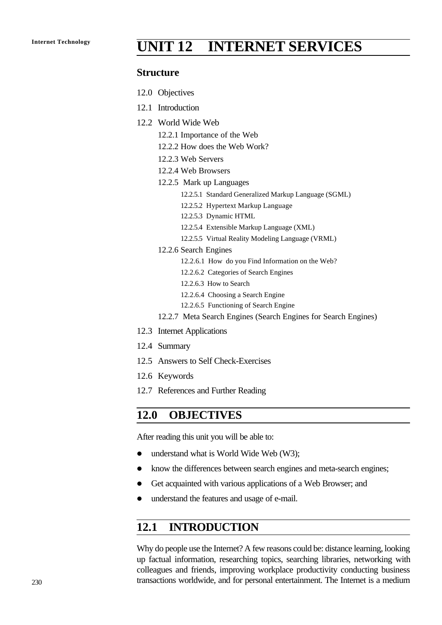# **Internet Technology UNIT 12 INTERNET SERVICES**

# **Structure**

- 12.0 Objectives
- 12.1 Introduction
- 12.2 World Wide Web
	- 12.2.1 Importance of the Web
	- 12.2.2 How does the Web Work?
	- 12.2.3 Web Servers
	- 12.2.4 Web Browsers
	- 12.2.5 Mark up Languages
		- 12.2.5.1 Standard Generalized Markup Language (SGML)
		- 12.2.5.2 Hypertext Markup Language
		- 12.2.5.3 Dynamic HTML
		- 12.2.5.4 Extensible Markup Language (XML)
		- 12.2.5.5 Virtual Reality Modeling Language (VRML)
	- 12.2.6 Search Engines
		- 12.2.6.1 How do you Find Information on the Web?
		- 12.2.6.2 Categories of Search Engines
		- 12.2.6.3 How to Search
		- 12.2.6.4 Choosing a Search Engine
		- 12.2.6.5 Functioning of Search Engine
	- 12.2.7 Meta Search Engines (Search Engines for Search Engines)
- 12.3 Internet Applications
- 12.4 Summary
- 12.5 Answers to Self Check-Exercises
- 12.6 Keywords
- 12.7 References and Further Reading

# **12.0 OBJECTIVES**

After reading this unit you will be able to:

- $\bullet$  understand what is World Wide Web (W3);
- know the differences between search engines and meta-search engines;
- Get acquainted with various applications of a Web Browser; and
- understand the features and usage of e-mail.

# **12.1 INTRODUCTION**

Why do people use the Internet? A few reasons could be: distance learning, looking up factual information, researching topics, searching libraries, networking with colleagues and friends, improving workplace productivity conducting business transactions worldwide, and for personal entertainment. The Internet is a medium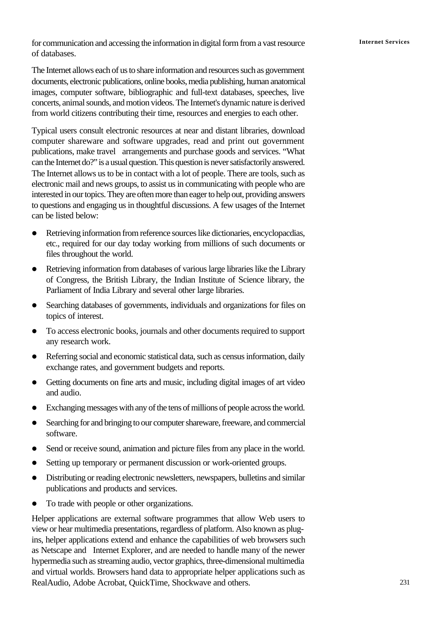for communication and accessing the information in digital form from a vast resource **Internet Services** of databases.

The Internet allows each of us to share information and resources such as government documents, electronic publications, online books, media publishing, human anatomical images, computer software, bibliographic and full-text databases, speeches, live concerts, animal sounds, and motion videos. The Internet's dynamic nature is derived from world citizens contributing their time, resources and energies to each other.

Typical users consult electronic resources at near and distant libraries, download computer shareware and software upgrades, read and print out government publications, make travel arrangements and purchase goods and services. "What can the Internet do?" is a usual question. This question is never satisfactorily answered. The Internet allows us to be in contact with a lot of people. There are tools, such as electronic mail and news groups, to assist us in communicating with people who are interested in our topics. They are often more than eager to help out, providing answers to questions and engaging us in thoughtful discussions. A few usages of the Internet can be listed below:

- l Retrieving information from reference sources like dictionaries, encyclopacdias, etc., required for our day today working from millions of such documents or files throughout the world.
- Retrieving information from databases of various large libraries like the Library of Congress, the British Library, the Indian Institute of Science library, the Parliament of India Library and several other large libraries.
- Searching databases of governments, individuals and organizations for files on topics of interest.
- To access electronic books, journals and other documents required to support any research work.
- Referring social and economic statistical data, such as census information, daily exchange rates, and government budgets and reports.
- Getting documents on fine arts and music, including digital images of art video and audio.
- Exchanging messages with any of the tens of millions of people across the world.
- Searching for and bringing to our computer shareware, freeware, and commercial software.
- Send or receive sound, animation and picture files from any place in the world.
- Setting up temporary or permanent discussion or work-oriented groups.
- Distributing or reading electronic newsletters, newspapers, bulletins and similar publications and products and services.
- To trade with people or other organizations.

Helper applications are external software programmes that allow Web users to view or hear multimedia presentations, regardless of platform. Also known as plugins, helper applications extend and enhance the capabilities of web browsers such as Netscape and Internet Explorer, and are needed to handle many of the newer hypermedia such as streaming audio, vector graphics, three-dimensional multimedia and virtual worlds. Browsers hand data to appropriate helper applications such as RealAudio, Adobe Acrobat, QuickTime, Shockwave and others.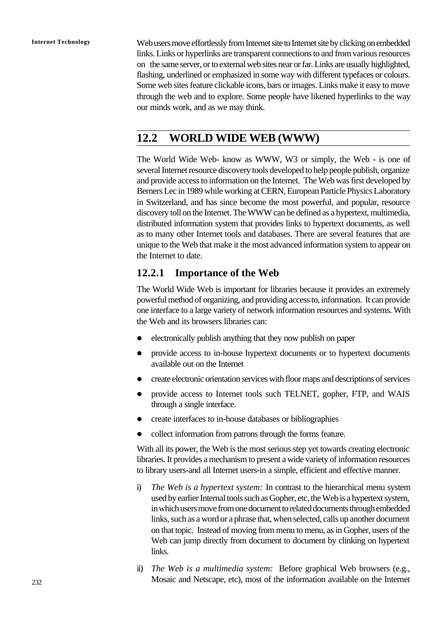**Internet Technology** Web users move effortlessly from Internet site to Internet site by clicking on embedded links. Links or hyperlinks are transparent connections to and from various resources on the same server, or to external web sites near or far. Links are usually highlighted, flashing, underlined or emphasized in some way with different typefaces or colours. Some web sites feature clickable icons, bars or images. Links make it easy to move through the web and to explore. Some people have likened hyperlinks to the way our minds work, and as we may think.

# **12.2 WORLD WIDE WEB (WWW)**

The World Wide Web- know as WWW, W3 or simply, the Web - is one of several Internet resource discovery tools developed to help people publish, organize and provide access to information on the Internet. The Web was first developed by Berners Lec in 1989 while working at CERN, European Particle Physics Laboratory in Switzerland, and has since become the most powerful, and popular, resource discovery toll on the Internet. The WWW can be defined as a hypertext, multimedia, distributed information system that provides links to hypertext documents, as well as to many other Internet tools and databases. There are several features that are unique to the Web that make it the most advanced information system to appear on the Internet to date.

# **12.2.1 Importance of the Web**

The World Wide Web is important for libraries because it provides an extremely powerful method of organizing, and providing access to, information. It can provide one interface to a large variety of network information resources and systems. With the Web and its browsers libraries can:

- electronically publish anything that they now publish on paper
- provide access to in-house hypertext documents or to hypertext documents available out on the Internet
- $\bullet$  create electronic orientation services with floor maps and descriptions of services
- provide access to Internet tools such TELNET, gopher, FTP, and WAIS through a single interface.
- l create interfaces to in-house databases or bibliographies
- collect information from patrons through the forms feature.

With all its power, the Web is the most serious step yet towards creating electronic libraries. It provides a mechanism to present a wide variety of information resources to library users-and all Internet users-in a simple, efficient and effective manner.

- i) *The Web is a hypertext system:* In contrast to the hierarchical menu system used by earlier Internal tools such as Gopher, etc, the Web is a hypertext system, in which users move from one document to related documents through embedded links, such as a word or a phrase that, when selected, calls up another document on that topic. Instead of moving from menu to menu, as in Gopher, users of the Web can jump directly from document to document by clinking on hypertext links.
- ii) *The Web is a multimedia system:* Before graphical Web browsers (e.g., Mosaic and Netscape, etc), most of the information available on the Internet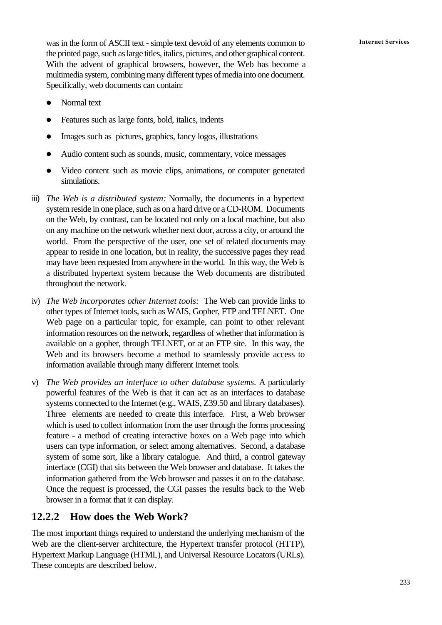was in the form of ASCII text - simple text devoid of any elements common to **Internet Services** the printed page, such as large titles, italics, pictures, and other graphical content. With the advent of graphical browsers, however, the Web has become a multimedia system, combining many different types of media into one document. Specifically, web documents can contain:

- l Normal text
- l Features such as large fonts, bold, italics, indents
- l Images such as pictures, graphics, fancy logos, illustrations
- l Audio content such as sounds, music, commentary, voice messages
- Video content such as movie clips, animations, or computer generated simulations.
- iii) *The Web is a distributed system:* Normally, the documents in a hypertext system reside in one place, such as on a hard drive or a CD-ROM. Documents on the Web, by contrast, can be located not only on a local machine, but also on any machine on the network whether next door, across a city, or around the world. From the perspective of the user, one set of related documents may appear to reside in one location, but in reality, the successive pages they read may have been requested from anywhere in the world. In this way, the Web is a distributed hypertext system because the Web documents are distributed throughout the network.
- iv) *The Web incorporates other Internet tools:* The Web can provide links to other types of Internet tools, such as WAIS, Gopher, FTP and TELNET. One Web page on a particular topic, for example, can point to other relevant information resources on the network, regardless of whether that information is available on a gopher, through TELNET, or at an FTP site. In this way, the Web and its browsers become a method to seamlessly provide access to information available through many different Internet tools.
- v) *The Web provides an interface to other database systems.* A particularly powerful features of the Web is that it can act as an interfaces to database systems connected to the Internet (e.g., WAIS, Z39.50 and library databases). Three elements are needed to create this interface. First, a Web browser which is used to collect information from the user through the forms processing feature - a method of creating interactive boxes on a Web page into which users can type information, or select among alternatives. Second, a database system of some sort, like a library catalogue. And third, a control gateway interface (CGI) that sits between the Web browser and database. It takes the information gathered from the Web browser and passes it on to the database. Once the request is processed, the CGI passes the results back to the Web browser in a format that it can display.

# **12.2.2 How does the Web Work?**

The most important things required to understand the underlying mechanism of the Web are the client-server architecture, the Hypertext transfer protocol (HTTP), Hypertext Markup Language (HTML), and Universal Resource Locators (URLs). These concepts are described below.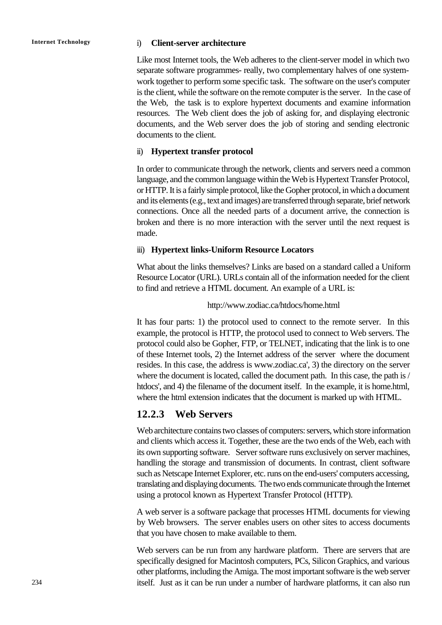#### **Internet Technology** i) **Client-server architecture**

Like most Internet tools, the Web adheres to the client-server model in which two separate software programmes- really, two complementary halves of one systemwork together to perform some specific task. The software on the user's computer is the client, while the software on the remote computer is the server. In the case of the Web, the task is to explore hypertext documents and examine information resources. The Web client does the job of asking for, and displaying electronic documents, and the Web server does the job of storing and sending electronic documents to the client.

#### ii) **Hypertext transfer protocol**

In order to communicate through the network, clients and servers need a common language, and the common language within the Web is Hypertext Transfer Protocol, or HTTP. It is a fairly simple protocol, like the Gopher protocol, in which a document and its elements (e.g., text and images) are transferred through separate, brief network connections. Once all the needed parts of a document arrive, the connection is broken and there is no more interaction with the server until the next request is made.

#### iii) **Hypertext links-Uniform Resource Locators**

What about the links themselves? Links are based on a standard called a Uniform Resource Locator (URL). URLs contain all of the information needed for the client to find and retrieve a HTML document. An example of a URL is:

#### http://www.zodiac.ca/htdocs/home.html

It has four parts: 1) the protocol used to connect to the remote server. In this example, the protocol is HTTP, the protocol used to connect to Web servers. The protocol could also be Gopher, FTP, or TELNET, indicating that the link is to one of these Internet tools, 2) the Internet address of the server where the document resides. In this case, the address is www.zodiac.ca', 3) the directory on the server where the document is located, called the document path. In this case, the path is / htdocs', and 4) the filename of the document itself. In the example, it is home.html, where the html extension indicates that the document is marked up with HTML.

# **12.2.3 Web Servers**

Web architecture contains two classes of computers: servers, which store information and clients which access it. Together, these are the two ends of the Web, each with its own supporting software. Server software runs exclusively on server machines, handling the storage and transmission of documents. In contrast, client software such as Netscape Internet Explorer, etc. runs on the end-users' computers accessing, translating and displaying documents. The two ends communicate through the Internet using a protocol known as Hypertext Transfer Protocol (HTTP).

A web server is a software package that processes HTML documents for viewing by Web browsers. The server enables users on other sites to access documents that you have chosen to make available to them.

Web servers can be run from any hardware platform. There are servers that are specifically designed for Macintosh computers, PCs, Silicon Graphics, and various other platforms, including the Amiga. The most important software is the web server itself. Just as it can be run under a number of hardware platforms, it can also run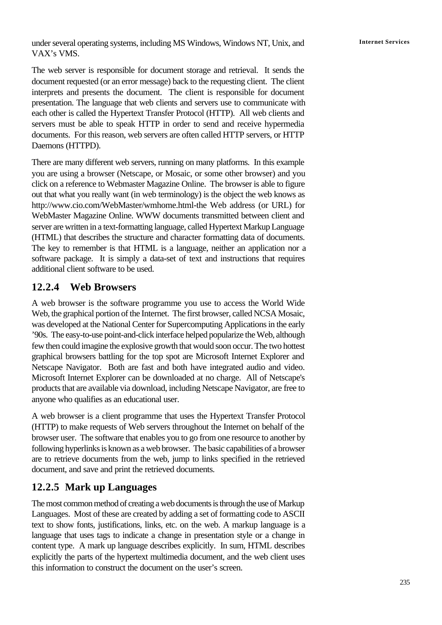under several operating systems, including MS Windows, Windows NT, Unix, and **Internet Services** VAX's VMS.

The web server is responsible for document storage and retrieval. It sends the document requested (or an error message) back to the requesting client. The client interprets and presents the document. The client is responsible for document presentation. The language that web clients and servers use to communicate with each other is called the Hypertext Transfer Protocol (HTTP). All web clients and servers must be able to speak HTTP in order to send and receive hypermedia documents. For this reason, web servers are often called HTTP servers, or HTTP Daemons (HTTPD).

There are many different web servers, running on many platforms. In this example you are using a browser (Netscape, or Mosaic, or some other browser) and you click on a reference to Webmaster Magazine Online. The browser is able to figure out that what you really want (in web terminology) is the object the web knows as http://www.cio.com/WebMaster/wmhome.html-the Web address (or URL) for WebMaster Magazine Online. WWW documents transmitted between client and server are written in a text-formatting language, called Hypertext Markup Language (HTML) that describes the structure and character formatting data of documents. The key to remember is that HTML is a language, neither an application nor a software package. It is simply a data-set of text and instructions that requires additional client software to be used.

# **12.2.4 Web Browsers**

A web browser is the software programme you use to access the World Wide Web, the graphical portion of the Internet. The first browser, called NCSA Mosaic, was developed at the National Center for Supercomputing Applications in the early '90s. The easy-to-use point-and-click interface helped popularize the Web, although few then could imagine the explosive growth that would soon occur. The two hottest graphical browsers battling for the top spot are Microsoft Internet Explorer and Netscape Navigator. Both are fast and both have integrated audio and video. Microsoft Internet Explorer can be downloaded at no charge. All of Netscape's products that are available via download, including Netscape Navigator, are free to anyone who qualifies as an educational user.

A web browser is a client programme that uses the Hypertext Transfer Protocol (HTTP) to make requests of Web servers throughout the Internet on behalf of the browser user. The software that enables you to go from one resource to another by following hyperlinks is known as a web browser. The basic capabilities of a browser are to retrieve documents from the web, jump to links specified in the retrieved document, and save and print the retrieved documents.

# **12.2.5 Mark up Languages**

The most common method of creating a web documents is through the use of Markup Languages. Most of these are created by adding a set of formatting code to ASCII text to show fonts, justifications, links, etc. on the web. A markup language is a language that uses tags to indicate a change in presentation style or a change in content type. A mark up language describes explicitly. In sum, HTML describes explicitly the parts of the hypertext multimedia document, and the web client uses this information to construct the document on the user's screen.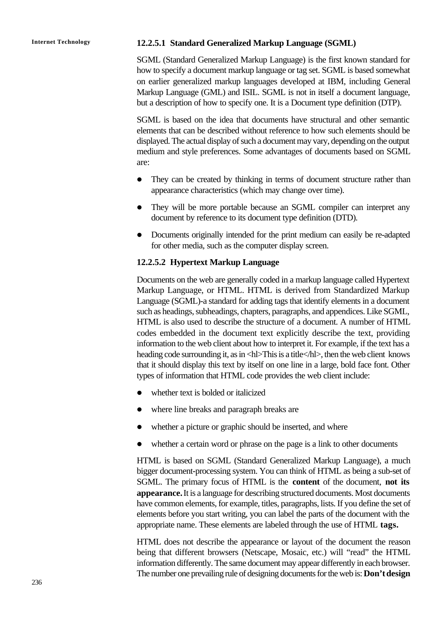# **Internet Technology 12.2.5.1 Standard Generalized Markup Language (SGML)**

SGML (Standard Generalized Markup Language) is the first known standard for how to specify a document markup language or tag set. SGML is based somewhat on earlier generalized markup languages developed at IBM, including General Markup Language (GML) and ISIL. SGML is not in itself a document language, but a description of how to specify one. It is a Document type definition (DTP).

SGML is based on the idea that documents have structural and other semantic elements that can be described without reference to how such elements should be displayed. The actual display of such a document may vary, depending on the output medium and style preferences. Some advantages of documents based on SGML are:

- They can be created by thinking in terms of document structure rather than appearance characteristics (which may change over time).
- They will be more portable because an SGML compiler can interpret any document by reference to its document type definition (DTD).
- Documents originally intended for the print medium can easily be re-adapted for other media, such as the computer display screen.

#### **12.2.5.2 Hypertext Markup Language**

Documents on the web are generally coded in a markup language called Hypertext Markup Language, or HTML. HTML is derived from Standardized Markup Language (SGML)-a standard for adding tags that identify elements in a document such as headings, subheadings, chapters, paragraphs, and appendices. Like SGML, HTML is also used to describe the structure of a document. A number of HTML codes embedded in the document text explicitly describe the text, providing information to the web client about how to interpret it. For example, if the text has a heading code surrounding it, as in <hl>This is a title</hl>, then the web client knows that it should display this text by itself on one line in a large, bold face font. Other types of information that HTML code provides the web client include:

- whether text is bolded or italicized
- where line breaks and paragraph breaks are
- whether a picture or graphic should be inserted, and where
- whether a certain word or phrase on the page is a link to other documents

HTML is based on SGML (Standard Generalized Markup Language), a much bigger document-processing system. You can think of HTML as being a sub-set of SGML. The primary focus of HTML is the **content** of the document, **not its appearance.** It is a language for describing structured documents. Most documents have common elements, for example, titles, paragraphs, lists. If you define the set of elements before you start writing, you can label the parts of the document with the appropriate name. These elements are labeled through the use of HTML **tags.**

HTML does not describe the appearance or layout of the document the reason being that different browsers (Netscape, Mosaic, etc.) will "read" the HTML information differently. The same document may appear differently in each browser. The number one prevailing rule of designing documents for the web is: **Don't design**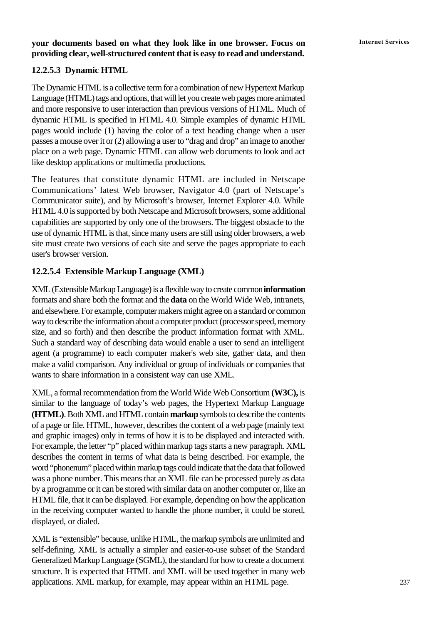# **your documents based on what they look like in one browser. Focus on Internet Services providing clear, well-structured content that is easy to read and understand.**

# **12.2.5.3 Dynamic HTML**

The Dynamic HTML is a collective term for a combination of new Hypertext Markup Language (HTML) tags and options, that will let you create web pages more animated and more responsive to user interaction than previous versions of HTML. Much of dynamic HTML is specified in HTML 4.0. Simple examples of dynamic HTML pages would include (1) having the color of a text heading change when a user passes a mouse over it or (2) allowing a user to "drag and drop" an image to another place on a web page. Dynamic HTML can allow web documents to look and act like desktop applications or multimedia productions.

The features that constitute dynamic HTML are included in Netscape Communications' latest Web browser, Navigator 4.0 (part of Netscape's Communicator suite), and by Microsoft's browser, Internet Explorer 4.0. While HTML 4.0 is supported by both Netscape and Microsoft browsers, some additional capabilities are supported by only one of the browsers. The biggest obstacle to the use of dynamic HTML is that, since many users are still using older browsers, a web site must create two versions of each site and serve the pages appropriate to each user's browser version.

# **12.2.5.4 Extensible Markup Language (XML)**

XML (Extensible Markup Language) is a flexible way to create common **information** formats and share both the format and the **data** on the World Wide Web, intranets, and elsewhere. For example, computer makers might agree on a standard or common way to describe the information about a computer product (processor speed, memory size, and so forth) and then describe the product information format with XML. Such a standard way of describing data would enable a user to send an intelligent agent (a programme) to each computer maker's web site, gather data, and then make a valid comparison. Any individual or group of individuals or companies that wants to share information in a consistent way can use XML.

XML, a formal recommendation from the World Wide Web Consortium **(W3C),** is similar to the language of today's web pages, the Hypertext Markup Language **(HTML)**. Both XML and HTML contain **markup** symbols to describe the contents of a page or file. HTML, however, describes the content of a web page (mainly text and graphic images) only in terms of how it is to be displayed and interacted with. For example, the letter "p" placed within markup tags starts a new paragraph. XML describes the content in terms of what data is being described. For example, the word "phonenum" placed within markup tags could indicate that the data that followed was a phone number. This means that an XML file can be processed purely as data by a programme or it can be stored with similar data on another computer or, like an HTML file, that it can be displayed. For example, depending on how the application in the receiving computer wanted to handle the phone number, it could be stored, displayed, or dialed.

XML is "extensible" because, unlike HTML, the markup symbols are unlimited and self-defining. XML is actually a simpler and easier-to-use subset of the Standard Generalized Markup Language (SGML), the standard for how to create a document structure. It is expected that HTML and XML will be used together in many web applications. XML markup, for example, may appear within an HTML page.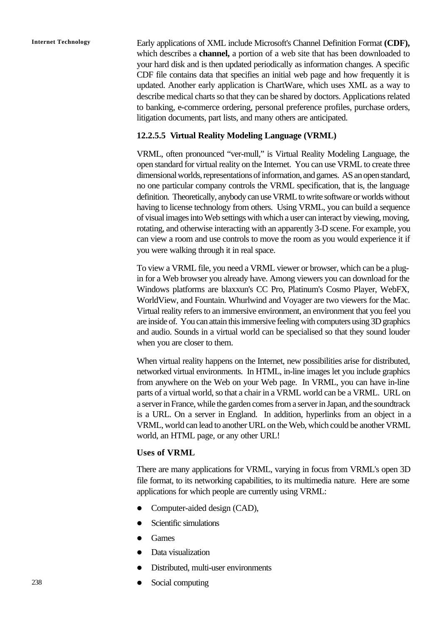**Internet Technology** Early applications of XML include Microsoft's Channel Definition Format **(CDF),** which describes a **channel,** a portion of a web site that has been downloaded to your hard disk and is then updated periodically as information changes. A specific CDF file contains data that specifies an initial web page and how frequently it is updated. Another early application is ChartWare, which uses XML as a way to describe medical charts so that they can be shared by doctors. Applications related to banking, e-commerce ordering, personal preference profiles, purchase orders, litigation documents, part lists, and many others are anticipated.

#### **12.2.5.5 Virtual Reality Modeling Language (VRML)**

VRML, often pronounced "ver-mull," is Virtual Reality Modeling Language, the open standard for virtual reality on the Internet. You can use VRML to create three dimensional worlds, representations of information, and games. AS an open standard, no one particular company controls the VRML specification, that is, the language definition. Theoretically, anybody can use VRML to write software or worlds without having to license technology from others. Using VRML, you can build a sequence of visual images into Web settings with which a user can interact by viewing, moving, rotating, and otherwise interacting with an apparently 3-D scene. For example, you can view a room and use controls to move the room as you would experience it if you were walking through it in real space.

To view a VRML file, you need a VRML viewer or browser, which can be a plugin for a Web browser you already have. Among viewers you can download for the Windows platforms are blaxxun's CC Pro, Platinum's Cosmo Player, WebFX, WorldView, and Fountain. Whurlwind and Voyager are two viewers for the Mac. Virtual reality refers to an immersive environment, an environment that you feel you are inside of. You can attain this immersive feeling with computers using 3D graphics and audio. Sounds in a virtual world can be specialised so that they sound louder when you are closer to them.

When virtual reality happens on the Internet, new possibilities arise for distributed, networked virtual environments. In HTML, in-line images let you include graphics from anywhere on the Web on your Web page. In VRML, you can have in-line parts of a virtual world, so that a chair in a VRML world can be a VRML. URL on a server in France, while the garden comes from a server in Japan, and the soundtrack is a URL. On a server in England. In addition, hyperlinks from an object in a VRML, world can lead to another URL on the Web, which could be another VRML world, an HTML page, or any other URL!

#### **Uses of VRML**

There are many applications for VRML, varying in focus from VRML's open 3D file format, to its networking capabilities, to its multimedia nature. Here are some applications for which people are currently using VRML:

- Computer-aided design (CAD),
- $\bullet$  Scientific simulations
- $\bullet$  Games
- Data visualization
- Distributed, multi-user environments
- Social computing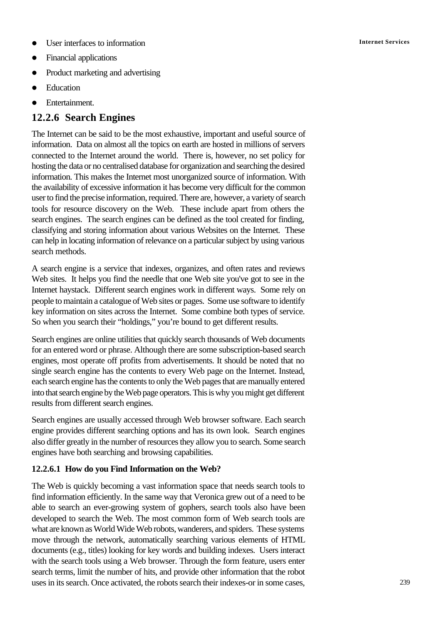- **•** User interfaces to information **Internet Services**
- Financial applications
- Product marketing and advertising
- Education
- Entertainment.

# **12.2.6 Search Engines**

The Internet can be said to be the most exhaustive, important and useful source of information. Data on almost all the topics on earth are hosted in millions of servers connected to the Internet around the world. There is, however, no set policy for hosting the data or no centralised database for organization and searching the desired information. This makes the Internet most unorganized source of information. With the availability of excessive information it has become very difficult for the common user to find the precise information, required. There are, however, a variety of search tools for resource discovery on the Web. These include apart from others the search engines. The search engines can be defined as the tool created for finding, classifying and storing information about various Websites on the Internet. These can help in locating information of relevance on a particular subject by using various search methods.

A search engine is a service that indexes, organizes, and often rates and reviews Web sites. It helps you find the needle that one Web site you've got to see in the Internet haystack. Different search engines work in different ways. Some rely on people to maintain a catalogue of Web sites or pages. Some use software to identify key information on sites across the Internet. Some combine both types of service. So when you search their "holdings," you're bound to get different results.

Search engines are online utilities that quickly search thousands of Web documents for an entered word or phrase. Although there are some subscription-based search engines, most operate off profits from advertisements. It should be noted that no single search engine has the contents to every Web page on the Internet. Instead, each search engine has the contents to only the Web pages that are manually entered into that search engine by the Web page operators. This is why you might get different results from different search engines.

Search engines are usually accessed through Web browser software. Each search engine provides different searching options and has its own look. Search engines also differ greatly in the number of resources they allow you to search. Some search engines have both searching and browsing capabilities.

# **12.2.6.1 How do you Find Information on the Web?**

The Web is quickly becoming a vast information space that needs search tools to find information efficiently. In the same way that Veronica grew out of a need to be able to search an ever-growing system of gophers, search tools also have been developed to search the Web. The most common form of Web search tools are what are known as World Wide Web robots, wanderers, and spiders. These systems move through the network, automatically searching various elements of HTML documents (e.g., titles) looking for key words and building indexes. Users interact with the search tools using a Web browser. Through the form feature, users enter search terms, limit the number of hits, and provide other information that the robot uses in its search. Once activated, the robots search their indexes-or in some cases,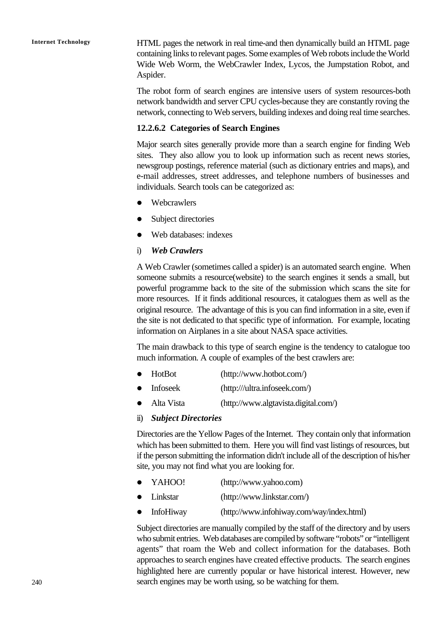**Internet Technology** HTML pages the network in real time-and then dynamically build an HTML page containing links to relevant pages. Some examples of Web robots include the World Wide Web Worm, the WebCrawler Index, Lycos, the Jumpstation Robot, and Aspider.

> The robot form of search engines are intensive users of system resources-both network bandwidth and server CPU cycles-because they are constantly roving the network, connecting to Web servers, building indexes and doing real time searches.

## **12.2.6.2 Categories of Search Engines**

Major search sites generally provide more than a search engine for finding Web sites. They also allow you to look up information such as recent news stories, newsgroup postings, reference material (such as dictionary entries and maps), and e-mail addresses, street addresses, and telephone numbers of businesses and individuals. Search tools can be categorized as:

- Webcrawlers
- Subject directories
- l Web databases: indexes
- i) *Web Crawlers*

A Web Crawler (sometimes called a spider) is an automated search engine. When someone submits a resource(website) to the search engines it sends a small, but powerful programme back to the site of the submission which scans the site for more resources. If it finds additional resources, it catalogues them as well as the original resource. The advantage of this is you can find information in a site, even if the site is not dedicated to that specific type of information. For example, locating information on Airplanes in a site about NASA space activities.

The main drawback to this type of search engine is the tendency to catalogue too much information. A couple of examples of the best crawlers are:

- $\bullet$  HotBot (http://www.hotbot.com/)
- Infoseek (http:///ultra.infoseek.com/)
- Alta Vista (http://www.algtavista.digital.com/)
- ii) *Subject Directories*

Directories are the Yellow Pages of the Internet. They contain only that information which has been submitted to them. Here you will find vast listings of resources, but if the person submitting the information didn't include all of the description of his/her site, you may not find what you are looking for.

- l YAHOO! (http://www.yahoo.com)
- Linkstar (http://www.linkstar.com/)
- l InfoHiway (http://www.infohiway.com/way/index.html)

Subject directories are manually compiled by the staff of the directory and by users who submit entries. Web databases are compiled by software "robots" or "intelligent agents" that roam the Web and collect information for the databases. Both approaches to search engines have created effective products. The search engines highlighted here are currently popular or have historical interest. However, new search engines may be worth using, so be watching for them.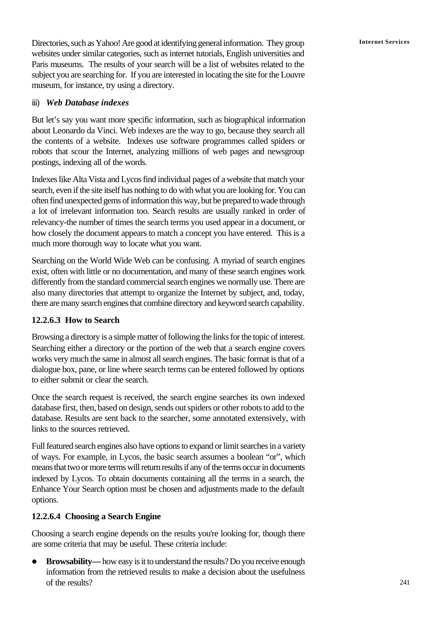Directories, such as Yahoo! Are good at identifying general information. They group **Internet Services** websites under similar categories, such as internet tutorials, English universities and Paris museums. The results of your search will be a list of websites related to the subject you are searching for. If you are interested in locating the site for the Louvre museum, for instance, try using a directory.

# iii) *Web Database indexes*

But let's say you want more specific information, such as biographical information about Leonardo da Vinci. Web indexes are the way to go, because they search all the contents of a website. Indexes use software programmes called spiders or robots that scour the Internet, analyzing millions of web pages and newsgroup postings, indexing all of the words.

Indexes like Alta Vista and Lycos find individual pages of a website that match your search, even if the site itself has nothing to do with what you are looking for. You can often find unexpected gems of information this way, but be prepared to wade through a lot of irrelevant information too. Search results are usually ranked in order of relevancy-the number of times the search terms you used appear in a document, or how closely the document appears to match a concept you have entered. This is a much more thorough way to locate what you want.

Searching on the World Wide Web can be confusing. A myriad of search engines exist, often with little or no documentation, and many of these search engines work differently from the standard commercial search engines we normally use. There are also many directories that attempt to organize the Internet by subject, and, today, there are many search engines that combine directory and keyword search capability.

# **12.2.6.3 How to Search**

Browsing a directory is a simple matter of following the links for the topic of interest. Searching either a directory or the portion of the web that a search engine covers works very much the same in almost all search engines. The basic format is that of a dialogue box, pane, or line where search terms can be entered followed by options to either submit or clear the search.

Once the search request is received, the search engine searches its own indexed database first, then, based on design, sends out spiders or other robots to add to the database. Results are sent back to the searcher, some annotated extensively, with links to the sources retrieved.

Full featured search engines also have options to expand or limit searches in a variety of ways. For example, in Lycos, the basic search assumes a boolean "or", which means that two or more terms will return results if any of the terms occur in documents indexed by Lycos. To obtain documents containing all the terms in a search, the Enhance Your Search option must be chosen and adjustments made to the default options.

## **12.2.6.4 Choosing a Search Engine**

Choosing a search engine depends on the results you're looking for, though there are some criteria that may be useful. These criteria include:

**• Browsability**— how easy is it to understand the results? Do you receive enough information from the retrieved results to make a decision about the usefulness of the results?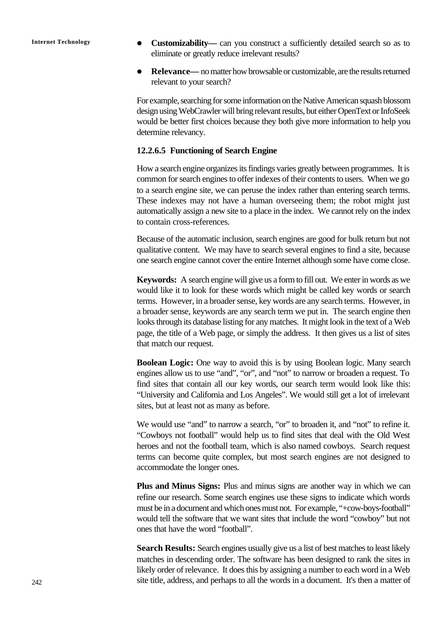- Internet Technology **Customizability** can you construct a sufficiently detailed search so as to eliminate or greatly reduce irrelevant results?
	- **Relevance** no matter how browsable or customizable, are the results returned relevant to your search?

For example, searching for some information on the Native American squash blossom design using WebCrawler will bring relevant results, but either OpenText or InfoSeek would be better first choices because they both give more information to help you determine relevancy.

#### **12.2.6.5 Functioning of Search Engine**

How a search engine organizes its findings varies greatly between programmes. It is common for search engines to offer indexes of their contents to users. When we go to a search engine site, we can peruse the index rather than entering search terms. These indexes may not have a human overseeing them; the robot might just automatically assign a new site to a place in the index. We cannot rely on the index to contain cross-references.

Because of the automatic inclusion, search engines are good for bulk return but not qualitative content. We may have to search several engines to find a site, because one search engine cannot cover the entire Internet although some have come close.

**Keywords:** A search engine will give us a form to fill out. We enter in words as we would like it to look for these words which might be called key words or search terms. However, in a broader sense, key words are any search terms. However, in a broader sense, keywords are any search term we put in. The search engine then looks through its database listing for any matches. It might look in the text of a Web page, the title of a Web page, or simply the address. It then gives us a list of sites that match our request.

**Boolean Logic:** One way to avoid this is by using Boolean logic. Many search engines allow us to use "and", "or", and "not" to narrow or broaden a request. To find sites that contain all our key words, our search term would look like this: "University and California and Los Angeles". We would still get a lot of irrelevant sites, but at least not as many as before.

We would use "and" to narrow a search, "or" to broaden it, and "not" to refine it. "Cowboys not football" would help us to find sites that deal with the Old West heroes and not the football team, which is also named cowboys. Search request terms can become quite complex, but most search engines are not designed to accommodate the longer ones.

**Plus and Minus Signs:** Plus and minus signs are another way in which we can refine our research. Some search engines use these signs to indicate which words must be in a document and which ones must not. For example, "+cow-boys-football" would tell the software that we want sites that include the word "cowboy" but not ones that have the word "football".

**Search Results:** Search engines usually give us a list of best matches to least likely matches in descending order. The software has been designed to rank the sites in likely order of relevance. It does this by assigning a number to each word in a Web site title, address, and perhaps to all the words in a document. It's then a matter of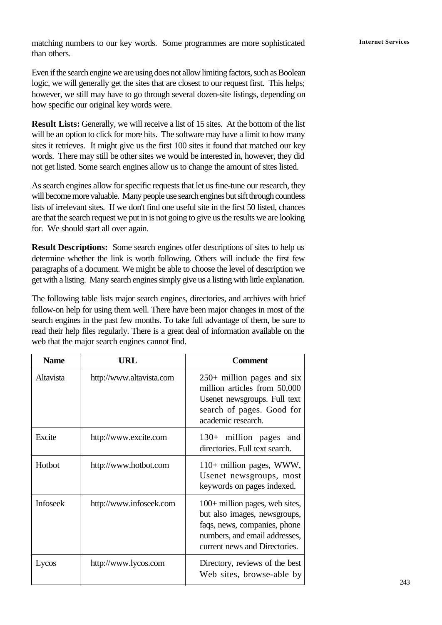matching numbers to our key words. Some programmes are more sophisticated **Internet Services** than others.

Even if the search engine we are using does not allow limiting factors, such as Boolean logic, we will generally get the sites that are closest to our request first. This helps; however, we still may have to go through several dozen-site listings, depending on how specific our original key words were.

**Result Lists:** Generally, we will receive a list of 15 sites. At the bottom of the list will be an option to click for more hits. The software may have a limit to how many sites it retrieves. It might give us the first 100 sites it found that matched our key words. There may still be other sites we would be interested in, however, they did not get listed. Some search engines allow us to change the amount of sites listed.

As search engines allow for specific requests that let us fine-tune our research, they will become more valuable. Many people use search engines but sift through countless lists of irrelevant sites. If we don't find one useful site in the first 50 listed, chances are that the search request we put in is not going to give us the results we are looking for. We should start all over again.

**Result Descriptions:** Some search engines offer descriptions of sites to help us determine whether the link is worth following. Others will include the first few paragraphs of a document. We might be able to choose the level of description we get with a listing. Many search engines simply give us a listing with little explanation.

The following table lists major search engines, directories, and archives with brief follow-on help for using them well. There have been major changes in most of the search engines in the past few months. To take full advantage of them, be sure to read their help files regularly. There is a great deal of information available on the web that the major search engines cannot find.

| <b>Name</b> | URL                      | <b>Comment</b>                                                                                                                                                   |
|-------------|--------------------------|------------------------------------------------------------------------------------------------------------------------------------------------------------------|
| Altavista   | http://www.altavista.com | $250+$ million pages and six<br>million articles from 50,000<br>Usenet newsgroups. Full text<br>search of pages. Good for<br>academic research.                  |
| Excite      | http://www.excite.com    | 130+ million pages and<br>directories. Full text search.                                                                                                         |
| Hotbot      | http://www.hotbot.com    | 110+ million pages, WWW,<br>Usenet newsgroups, most<br>keywords on pages indexed.                                                                                |
| Infoseek    | http://www.infoseek.com  | 100+ million pages, web sites,<br>but also images, newsgroups,<br>faqs, news, companies, phone<br>numbers, and email addresses,<br>current news and Directories. |
| Lycos       | http://www.lycos.com     | Directory, reviews of the best<br>Web sites, browse-able by                                                                                                      |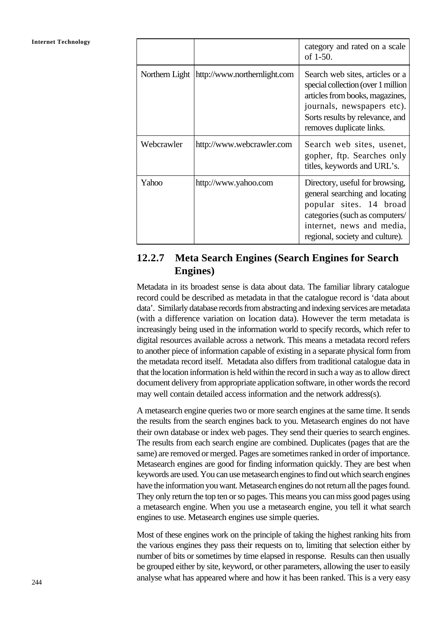| <b>Internet Technology</b> |            |                                               | category and rated on a scale<br>of 1-50.                                                                                                                                                             |
|----------------------------|------------|-----------------------------------------------|-------------------------------------------------------------------------------------------------------------------------------------------------------------------------------------------------------|
|                            |            | Northern Light   http://www.northernlight.com | Search web sites, articles or a<br>special collection (over 1 million<br>articles from books, magazines,<br>journals, newspapers etc).<br>Sorts results by relevance, and<br>removes duplicate links. |
|                            | Webcrawler | http://www.webcrawler.com                     | Search web sites, usenet,<br>gopher, ftp. Searches only<br>titles, keywords and URL's.                                                                                                                |
|                            | Yahoo      | http://www.yahoo.com                          | Directory, useful for browsing,<br>general searching and locating<br>popular sites. 14 broad<br>categories (such as computers/<br>internet, news and media,<br>regional, society and culture).        |

# **12.2.7 Meta Search Engines (Search Engines for Search Engines)**

Metadata in its broadest sense is data about data. The familiar library catalogue record could be described as metadata in that the catalogue record is 'data about data'. Similarly database records from abstracting and indexing services are metadata (with a difference variation on location data). However the term metadata is increasingly being used in the information world to specify records, which refer to digital resources available across a network. This means a metadata record refers to another piece of information capable of existing in a separate physical form from the metadata record itself. Metadata also differs from traditional catalogue data in that the location information is held within the record in such a way as to allow direct document delivery from appropriate application software, in other words the record may well contain detailed access information and the network address(s).

A metasearch engine queries two or more search engines at the same time. It sends the results from the search engines back to you. Metasearch engines do not have their own database or index web pages. They send their queries to search engines. The results from each search engine are combined. Duplicates (pages that are the same) are removed or merged. Pages are sometimes ranked in order of importance. Metasearch engines are good for finding information quickly. They are best when keywords are used. You can use metasearch engines to find out which search engines have the information you want. Metasearch engines do not return all the pages found. They only return the top ten or so pages. This means you can miss good pages using a metasearch engine. When you use a metasearch engine, you tell it what search engines to use. Metasearch engines use simple queries.

Most of these engines work on the principle of taking the highest ranking hits from the various engines they pass their requests on to, limiting that selection either by number of bits or sometimes by time elapsed in response. Results can then usually be grouped either by site, keyword, or other parameters, allowing the user to easily analyse what has appeared where and how it has been ranked. This is a very easy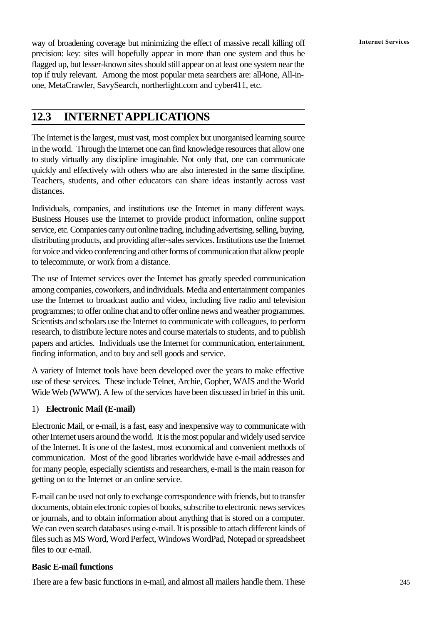way of broadening coverage but minimizing the effect of massive recall killing off **Internet Services** precision: key: sites will hopefully appear in more than one system and thus be flagged up, but lesser-known sites should still appear on at least one system near the top if truly relevant. Among the most popular meta searchers are: all4one, All-inone, MetaCrawler, SavySearch, northerlight.com and cyber411, etc.

# **12.3 INTERNETAPPLICATIONS**

The Internet is the largest, must vast, most complex but unorganised learning source in the world. Through the Internet one can find knowledge resources that allow one to study virtually any discipline imaginable. Not only that, one can communicate quickly and effectively with others who are also interested in the same discipline. Teachers, students, and other educators can share ideas instantly across vast distances.

Individuals, companies, and institutions use the Internet in many different ways. Business Houses use the Internet to provide product information, online support service, etc. Companies carry out online trading, including advertising, selling, buying, distributing products, and providing after-sales services. Institutions use the Internet for voice and video conferencing and other forms of communication that allow people to telecommute, or work from a distance.

The use of Internet services over the Internet has greatly speeded communication among companies, coworkers, and individuals. Media and entertainment companies use the Internet to broadcast audio and video, including live radio and television programmes; to offer online chat and to offer online news and weather programmes. Scientists and scholars use the Internet to communicate with colleagues, to perform research, to distribute lecture notes and course materials to students, and to publish papers and articles. Individuals use the Internet for communication, entertainment, finding information, and to buy and sell goods and service.

A variety of Internet tools have been developed over the years to make effective use of these services. These include Telnet, Archie, Gopher, WAIS and the World Wide Web (WWW). A few of the services have been discussed in brief in this unit.

# 1) **Electronic Mail (E-mail)**

Electronic Mail, or e-mail, is a fast, easy and inexpensive way to communicate with other Internet users around the world. It is the most popular and widely used service of the Internet. It is one of the fastest, most economical and convenient methods of communication. Most of the good libraries worldwide have e-mail addresses and for many people, especially scientists and researchers, e-mail is the main reason for getting on to the Internet or an online service.

E-mail can be used not only to exchange correspondence with friends, but to transfer documents, obtain electronic copies of books, subscribe to electronic news services or journals, and to obtain information about anything that is stored on a computer. We can even search databases using e-mail. It is possible to attach different kinds of files such as MS Word, Word Perfect, Windows WordPad, Notepad or spreadsheet files to our e-mail.

# **Basic E-mail functions**

There are a few basic functions in e-mail, and almost all mailers handle them. These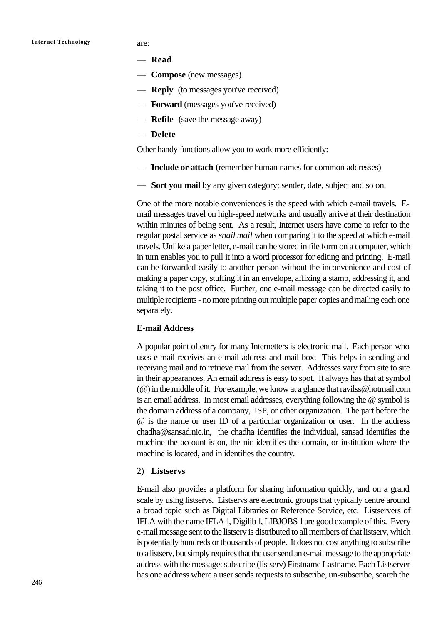- **Read**
- **Compose** (new messages)
- **Reply** (to messages you've received)
- **Forward** (messages you've received)
- **Refile** (save the message away)
- **Delete**

Other handy functions allow you to work more efficiently:

- **Include or attach** (remember human names for common addresses)
- **Sort you mail** by any given category; sender, date, subject and so on.

One of the more notable conveniences is the speed with which e-mail travels. Email messages travel on high-speed networks and usually arrive at their destination within minutes of being sent. As a result, Internet users have come to refer to the regular postal service as *snail mail* when comparing it to the speed at which e-mail travels. Unlike a paper letter, e-mail can be stored in file form on a computer, which in turn enables you to pull it into a word processor for editing and printing. E-mail can be forwarded easily to another person without the inconvenience and cost of making a paper copy, stuffing it in an envelope, affixing a stamp, addressing it, and taking it to the post office. Further, one e-mail message can be directed easily to multiple recipients - no more printing out multiple paper copies and mailing each one separately.

#### **E-mail Address**

A popular point of entry for many Internetters is electronic mail. Each person who uses e-mail receives an e-mail address and mail box. This helps in sending and receiving mail and to retrieve mail from the server. Addresses vary from site to site in their appearances. An email address is easy to spot. It always has that at symbol (@) in the middle of it. For example, we know at a glance that ravilss@hotmail.com is an email address. In most email addresses, everything following the @ symbol is the domain address of a company, ISP, or other organization. The part before the @ is the name or user ID of a particular organization or user. In the address chadha@sansad.nic.in, the chadha identifies the individual, sansad identifies the machine the account is on, the nic identifies the domain, or institution where the machine is located, and in identifies the country.

#### 2) **Listservs**

E-mail also provides a platform for sharing information quickly, and on a grand scale by using listservs. Listservs are electronic groups that typically centre around a broad topic such as Digital Libraries or Reference Service, etc. Listservers of IFLA with the name IFLA-l, Digilib-l, LIBJOBS-l are good example of this. Every e-mail message sent to the listserv is distributed to all members of that listserv, which is potentially hundreds or thousands of people. It does not cost anything to subscribe to a listserv, but simply requires that the user send an e-mail message to the appropriate address with the message: subscribe (listserv) Firstname Lastname. Each Listserver has one address where a user sends requests to subscribe, un-subscribe, search the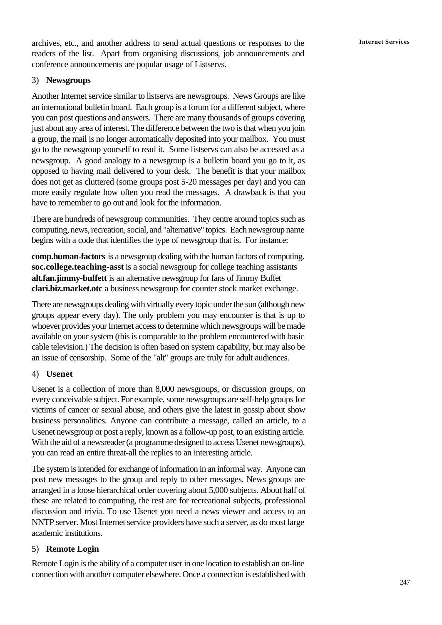**Internet Services** archives, etc., and another address to send actual questions or responses to the readers of the list. Apart from organising discussions, job announcements and conference announcements are popular usage of Listservs.

# 3) **Newsgroups**

Another Internet service similar to listservs are newsgroups. News Groups are like an international bulletin board. Each group is a forum for a different subject, where you can post questions and answers. There are many thousands of groups covering just about any area of interest. The difference between the two is that when you join a group, the mail is no longer automatically deposited into your mailbox. You must go to the newsgroup yourself to read it. Some listservs can also be accessed as a newsgroup. A good analogy to a newsgroup is a bulletin board you go to it, as opposed to having mail delivered to your desk. The benefit is that your mailbox does not get as cluttered (some groups post 5-20 messages per day) and you can more easily regulate how often you read the messages. A drawback is that you have to remember to go out and look for the information.

There are hundreds of newsgroup communities. They centre around topics such as computing, news, recreation, social, and "alternative" topics. Each newsgroup name begins with a code that identifies the type of newsgroup that is. For instance:

**comp.human-factors** is a newsgroup dealing with the human factors of computing. **soc.college.teaching-asst** is a social newsgroup for college teaching assistants **alt.fan.jimmy-buffett** is an alternative newsgroup for fans of Jimmy Buffet **clari.biz.market.otc** a business newsgroup for counter stock market exchange.

There are newsgroups dealing with virtually every topic under the sun (although new groups appear every day). The only problem you may encounter is that is up to whoever provides your Internet access to determine which newsgroups will be made available on your system (this is comparable to the problem encountered with basic cable television.) The decision is often based on system capability, but may also be an issue of censorship. Some of the "alt" groups are truly for adult audiences.

# 4) **Usenet**

Usenet is a collection of more than 8,000 newsgroups, or discussion groups, on every conceivable subject. For example, some newsgroups are self-help groups for victims of cancer or sexual abuse, and others give the latest in gossip about show business personalities. Anyone can contribute a message, called an article, to a Usenet newsgroup or post a reply, known as a follow-up post, to an existing article. With the aid of a newsreader (a programme designed to access Usenet newsgroups), you can read an entire threat-all the replies to an interesting article.

The system is intended for exchange of information in an informal way. Anyone can post new messages to the group and reply to other messages. News groups are arranged in a loose hierarchical order covering about 5,000 subjects. About half of these are related to computing, the rest are for recreational subjects, professional discussion and trivia. To use Usenet you need a news viewer and access to an NNTP server. Most Internet service providers have such a server, as do most large academic institutions.

# 5) **Remote Login**

Remote Login is the ability of a computer user in one location to establish an on-line connection with another computer elsewhere. Once a connection is established with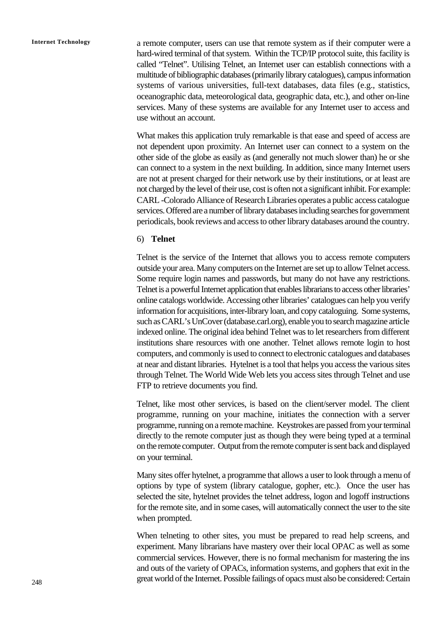**Internet Technology** a remote computer, users can use that remote system as if their computer were a hard-wired terminal of that system. Within the TCP/IP protocol suite, this facility is called "Telnet". Utilising Telnet, an Internet user can establish connections with a multitude of bibliographic databases (primarily library catalogues), campus information systems of various universities, full-text databases, data files (e.g., statistics, oceanographic data, meteorological data, geographic data, etc.), and other on-line services. Many of these systems are available for any Internet user to access and use without an account.

> What makes this application truly remarkable is that ease and speed of access are not dependent upon proximity. An Internet user can connect to a system on the other side of the globe as easily as (and generally not much slower than) he or she can connect to a system in the next building. In addition, since many Internet users are not at present charged for their network use by their institutions, or at least are not charged by the level of their use, cost is often not a significant inhibit. For example: CARL -Colorado Alliance of Research Libraries operates a public access catalogue services. Offered are a number of library databases including searches for government periodicals, book reviews and access to other library databases around the country.

#### 6) **Telnet**

Telnet is the service of the Internet that allows you to access remote computers outside your area. Many computers on the Internet are set up to allow Telnet access. Some require login names and passwords, but many do not have any restrictions. Telnet is a powerful Internet application that enables librarians to access other libraries' online catalogs worldwide. Accessing other libraries' catalogues can help you verify information for acquisitions, inter-library loan, and copy cataloguing. Some systems, such as CARL's UnCover (database.carl.org), enable you to search magazine article indexed online. The original idea behind Telnet was to let researchers from different institutions share resources with one another. Telnet allows remote login to host computers, and commonly is used to connect to electronic catalogues and databases at near and distant libraries. Hytelnet is a tool that helps you access the various sites through Telnet. The World Wide Web lets you access sites through Telnet and use FTP to retrieve documents you find.

Telnet, like most other services, is based on the client/server model. The client programme, running on your machine, initiates the connection with a server programme, running on a remote machine. Keystrokes are passed from your terminal directly to the remote computer just as though they were being typed at a terminal on the remote computer. Output from the remote computer is sent back and displayed on your terminal.

Many sites offer hytelnet, a programme that allows a user to look through a menu of options by type of system (library catalogue, gopher, etc.). Once the user has selected the site, hytelnet provides the telnet address, logon and logoff instructions for the remote site, and in some cases, will automatically connect the user to the site when prompted.

When telneting to other sites, you must be prepared to read help screens, and experiment. Many librarians have mastery over their local OPAC as well as some commercial services. However, there is no formal mechanism for mastering the ins and outs of the variety of OPACs, information systems, and gophers that exit in the great world of the Internet. Possible failings of opacs must also be considered: Certain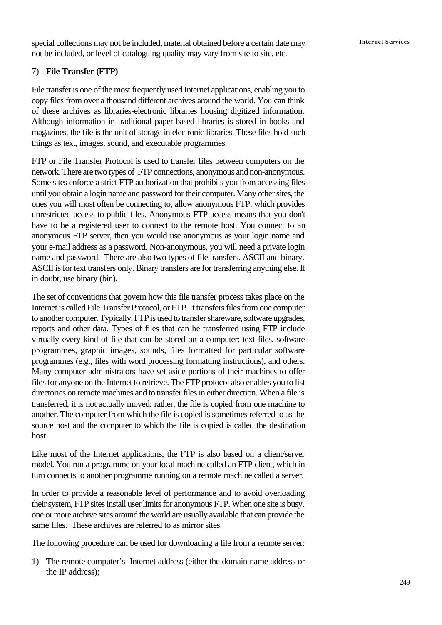**Internet Services** special collections may not be included, material obtained before a certain date may not be included, or level of cataloguing quality may vary from site to site, etc.

#### 7) **File Transfer (FTP)**

File transfer is one of the most frequently used Internet applications, enabling you to copy files from over a thousand different archives around the world. You can think of these archives as libraries-electronic libraries housing digitized information. Although information in traditional paper-based libraries is stored in books and magazines, the file is the unit of storage in electronic libraries. These files hold such things as text, images, sound, and executable programmes.

FTP or File Transfer Protocol is used to transfer files between computers on the network. There are two types of FTP connections, anonymous and non-anonymous. Some sites enforce a strict FTP authorization that prohibits you from accessing files until you obtain a login name and password for their computer. Many other sites, the ones you will most often be connecting to, allow anonymous FTP, which provides unrestricted access to public files. Anonymous FTP access means that you don't have to be a registered user to connect to the remote host. You connect to an anonymous FTP server, then you would use anonymous as your login name and your e-mail address as a password. Non-anonymous, you will need a private login name and password. There are also two types of file transfers. ASCII and binary. ASCII is for text transfers only. Binary transfers are for transferring anything else. If in doubt, use binary (bin).

The set of conventions that govern how this file transfer process takes place on the Internet is called File Transfer Protocol, or FTP. It transfers files from one computer to another computer. Typically, FTP is used to transfer shareware, software upgrades, reports and other data. Types of files that can be transferred using FTP include virtually every kind of file that can be stored on a computer: text files, software programmes, graphic images, sounds, files formatted for particular software programmes (e.g., files with word processing formatting instructions), and others. Many computer administrators have set aside portions of their machines to offer files for anyone on the Internet to retrieve. The FTP protocol also enables you to list directories on remote machines and to transfer files in either direction. When a file is transferred, it is not actually moved; rather, the file is copied from one machine to another. The computer from which the file is copied is sometimes referred to as the source host and the computer to which the file is copied is called the destination host.

Like most of the Internet applications, the FTP is also based on a client/server model. You run a programme on your local machine called an FTP client, which in turn connects to another programme running on a remote machine called a server.

In order to provide a reasonable level of performance and to avoid overloading their system, FTP sites install user limits for anonymous FTP. When one site is busy, one or more archive sites around the world are usually available that can provide the same files. These archives are referred to as mirror sites.

The following procedure can be used for downloading a file from a remote server:

1) The remote computer's Internet address (either the domain name address or the IP address);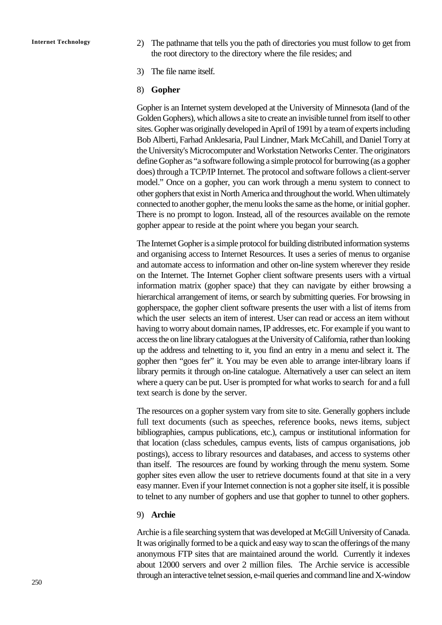- **Internet Technology** 2) The pathname that tells you the path of directories you must follow to get from the root directory to the directory where the file resides; and
	- 3) The file name itself.
	- 8) **Gopher**

Gopher is an Internet system developed at the University of Minnesota (land of the Golden Gophers), which allows a site to create an invisible tunnel from itself to other sites. Gopher was originally developed in April of 1991 by a team of experts including Bob Alberti, Farhad Anklesaria, Paul Lindner, Mark McCahill, and Daniel Torry at the University's Microcomputer and Workstation Networks Center. The originators define Gopher as "a software following a simple protocol for burrowing (as a gopher does) through a TCP/IP Internet. The protocol and software follows a client-server model." Once on a gopher, you can work through a menu system to connect to other gophers that exist in North America and throughout the world. When ultimately connected to another gopher, the menu looks the same as the home, or initial gopher. There is no prompt to logon. Instead, all of the resources available on the remote gopher appear to reside at the point where you began your search.

The Internet Gopher is a simple protocol for building distributed information systems and organising access to Internet Resources. It uses a series of menus to organise and automate access to information and other on-line system wherever they reside on the Internet. The Internet Gopher client software presents users with a virtual information matrix (gopher space) that they can navigate by either browsing a hierarchical arrangement of items, or search by submitting queries. For browsing in gopherspace, the gopher client software presents the user with a list of items from which the user selects an item of interest. User can read or access an item without having to worry about domain names, IP addresses, etc. For example if you want to access the on line library catalogues at the University of California, rather than looking up the address and telnetting to it, you find an entry in a menu and select it. The gopher then "goes fer" it. You may be even able to arrange inter-library loans if library permits it through on-line catalogue. Alternatively a user can select an item where a query can be put. User is prompted for what works to search for and a full text search is done by the server.

The resources on a gopher system vary from site to site. Generally gophers include full text documents (such as speeches, reference books, news items, subject bibliographies, campus publications, etc.), campus or institutional information for that location (class schedules, campus events, lists of campus organisations, job postings), access to library resources and databases, and access to systems other than itself. The resources are found by working through the menu system. Some gopher sites even allow the user to retrieve documents found at that site in a very easy manner. Even if your Internet connection is not a gopher site itself, it is possible to telnet to any number of gophers and use that gopher to tunnel to other gophers.

#### 9) **Archie**

Archie is a file searching system that was developed at McGill University of Canada. It was originally formed to be a quick and easy way to scan the offerings of the many anonymous FTP sites that are maintained around the world. Currently it indexes about 12000 servers and over 2 million files. The Archie service is accessible through an interactive telnet session, e-mail queries and command line and X-window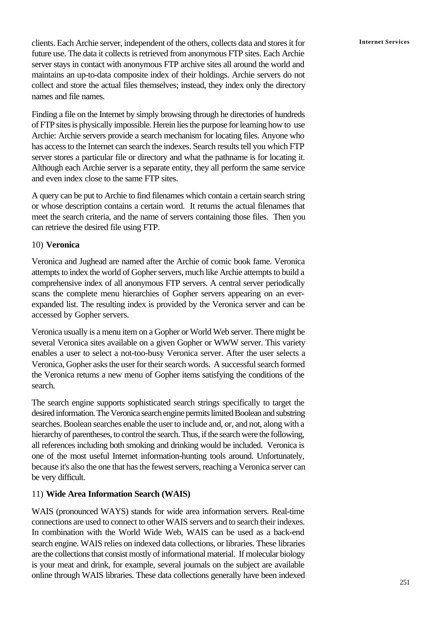**Internet Services** clients. Each Archie server, independent of the others, collects data and stores it for future use. The data it collects is retrieved from anonymous FTP sites. Each Archie server stays in contact with anonymous FTP archive sites all around the world and maintains an up-to-data composite index of their holdings. Archie servers do not collect and store the actual files themselves; instead, they index only the directory names and file names.

Finding a file on the Internet by simply browsing through he directories of hundreds of FTP sites is physically impossible. Herein lies the purpose for learning how to use Archie: Archie servers provide a search mechanism for locating files. Anyone who has access to the Internet can search the indexes. Search results tell you which FTP server stores a particular file or directory and what the pathname is for locating it. Although each Archie server is a separate entity, they all perform the same service and even index close to the same FTP sites.

A query can be put to Archie to find filenames which contain a certain search string or whose description contains a certain word. It returns the actual filenames that meet the search criteria, and the name of servers containing those files. Then you can retrieve the desired file using FTP.

# 10) **Veronica**

Veronica and Jughead are named after the Archie of comic book fame. Veronica attempts to index the world of Gopher servers, much like Archie attempts to build a comprehensive index of all anonymous FTP servers. A central server periodically scans the complete menu hierarchies of Gopher servers appearing on an everexpanded list. The resulting index is provided by the Veronica server and can be accessed by Gopher servers.

Veronica usually is a menu item on a Gopher or World Web server. There might be several Veronica sites available on a given Gopher or WWW server. This variety enables a user to select a not-too-busy Veronica server. After the user selects a Veronica, Gopher asks the user for their search words. A successful search formed the Veronica returns a new menu of Gopher items satisfying the conditions of the search.

The search engine supports sophisticated search strings specifically to target the desired information. The Veronica search engine permits limited Boolean and substring searches. Boolean searches enable the user to include and, or, and not, along with a hierarchy of parentheses, to control the search. Thus, if the search were the following, all references including both smoking and drinking would be included. Veronica is one of the most useful Internet information-hunting tools around. Unfortunately, because it's also the one that has the fewest servers, reaching a Veronica server can be very difficult.

# 11) **Wide Area Information Search (WAIS)**

WAIS (pronounced WAYS) stands for wide area information servers. Real-time connections are used to connect to other WAIS servers and to search their indexes. In combination with the World Wide Web, WAIS can be used as a back-end search engine. WAIS relies on indexed data collections, or libraries. These libraries are the collections that consist mostly of informational material. If molecular biology is your meat and drink, for example, several journals on the subject are available online through WAIS libraries. These data collections generally have been indexed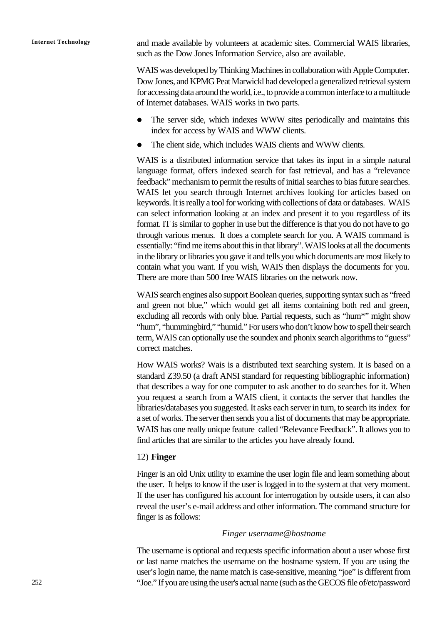**Internet Technology** and made available by volunteers at academic sites. Commercial WAIS libraries, such as the Dow Jones Information Service, also are available.

> WAIS was developed by Thinking Machines in collaboration with Apple Computer. Dow Jones, and KPMG Peat Marwickl had developed a generalized retrieval system for accessing data around the world, i.e., to provide a common interface to a multitude of Internet databases. WAIS works in two parts.

- The server side, which indexes WWW sites periodically and maintains this index for access by WAIS and WWW clients.
- The client side, which includes WAIS clients and WWW clients.

WAIS is a distributed information service that takes its input in a simple natural language format, offers indexed search for fast retrieval, and has a "relevance feedback" mechanism to permit the results of initial searches to bias future searches. WAIS let you search through Internet archives looking for articles based on keywords. It is really a tool for working with collections of data or databases. WAIS can select information looking at an index and present it to you regardless of its format. IT is similar to gopher in use but the difference is that you do not have to go through various menus. It does a complete search for you. A WAIS command is essentially: "find me items about this in that library". WAIS looks at all the documents in the library or libraries you gave it and tells you which documents are most likely to contain what you want. If you wish, WAIS then displays the documents for you. There are more than 500 free WAIS libraries on the network now.

WAIS search engines also support Boolean queries, supporting syntax such as "freed and green not blue," which would get all items containing both red and green, excluding all records with only blue. Partial requests, such as "hum\*" might show "hum", "hummingbird," "humid." For users who don't know how to spell their search term, WAIS can optionally use the soundex and phonix search algorithms to "guess" correct matches.

How WAIS works? Wais is a distributed text searching system. It is based on a standard Z39.50 (a draft ANSI standard for requesting bibliographic information) that describes a way for one computer to ask another to do searches for it. When you request a search from a WAIS client, it contacts the server that handles the libraries/databases you suggested. It asks each server in turn, to search its index for a set of works. The server then sends you a list of documents that may be appropriate. WAIS has one really unique feature called "Relevance Feedback". It allows you to find articles that are similar to the articles you have already found.

## 12) **Finger**

Finger is an old Unix utility to examine the user login file and learn something about the user. It helps to know if the user is logged in to the system at that very moment. If the user has configured his account for interrogation by outside users, it can also reveal the user's e-mail address and other information. The command structure for finger is as follows:

## *Finger username@hostname*

The username is optional and requests specific information about a user whose first or last name matches the username on the hostname system. If you are using the user's login name, the name match is case-sensitive, meaning "joe" is different from "Joe." If you are using the user's actual name (such as the GECOS file of/etc/password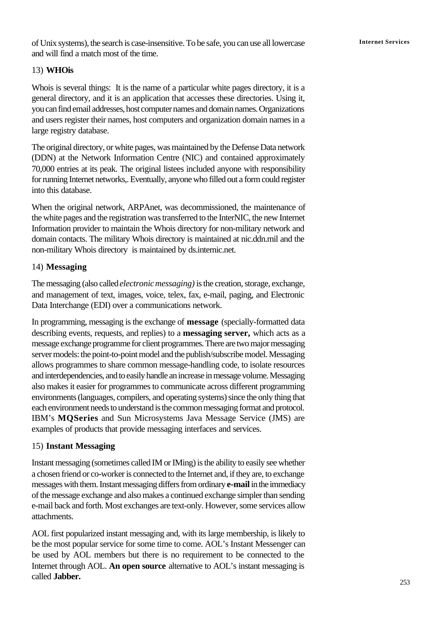of Unix systems), the search is case-insensitive. To be safe, you can use all lowercase **Internet Services** and will find a match most of the time.

## 13) **WHOis**

Whois is several things: It is the name of a particular white pages directory, it is a general directory, and it is an application that accesses these directories. Using it, you can find email addresses, host computer names and domain names. Organizations and users register their names, host computers and organization domain names in a large registry database.

The original directory, or white pages, was maintained by the Defense Data network (DDN) at the Network Information Centre (NIC) and contained approximately 70,000 entries at its peak. The original listees included anyone with responsibility for running Internet networks,. Eventually, anyone who filled out a form could register into this database.

When the original network, ARPAnet, was decommissioned, the maintenance of the white pages and the registration was transferred to the InterNIC, the new Internet Information provider to maintain the Whois directory for non-military network and domain contacts. The military Whois directory is maintained at nic.ddn.mil and the non-military Whois directory is maintained by ds.internic.net.

## 14) **Messaging**

The messaging (also called *electronic messaging)* is the creation, storage, exchange, and management of text, images, voice, telex, fax, e-mail, paging, and Electronic Data Interchange (EDI) over a communications network.

In programming, messaging is the exchange of **message** (specially-formatted data describing events, requests, and replies) to a **messaging server,** which acts as a message exchange programme for client programmes. There are two major messaging server models: the point-to-point model and the publish/subscribe model. Messaging allows programmes to share common message-handling code, to isolate resources and interdependencies, and to easily handle an increase in message volume. Messaging also makes it easier for programmes to communicate across different programming environments (languages, compilers, and operating systems) since the only thing that each environment needs to understand is the common messaging format and protocol. IBM's **MQSeries** and Sun Microsystems Java Message Service (JMS) are examples of products that provide messaging interfaces and services.

## 15) **Instant Messaging**

Instant messaging (sometimes called IM or IMing) is the ability to easily see whether a chosen friend or co-worker is connected to the Internet and, if they are, to exchange messages with them. Instant messaging differs from ordinary **e-mail** in the immediacy of the message exchange and also makes a continued exchange simpler than sending e-mail back and forth. Most exchanges are text-only. However, some services allow attachments.

AOL first popularized instant messaging and, with its large membership, is likely to be the most popular service for some time to come. AOL's Instant Messenger can be used by AOL members but there is no requirement to be connected to the Internet through AOL. **An open source** alternative to AOL's instant messaging is called **Jabber.**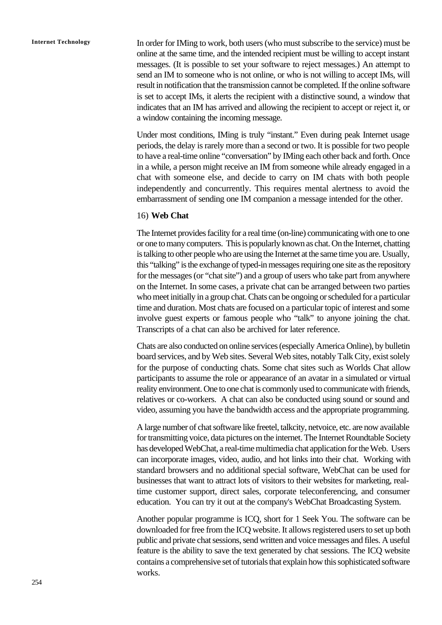**Internet Technology** In order for IMing to work, both users (who must subscribe to the service) must be online at the same time, and the intended recipient must be willing to accept instant messages. (It is possible to set your software to reject messages.) An attempt to send an IM to someone who is not online, or who is not willing to accept IMs, will result in notification that the transmission cannot be completed. If the online software is set to accept IMs, it alerts the recipient with a distinctive sound, a window that indicates that an IM has arrived and allowing the recipient to accept or reject it, or a window containing the incoming message.

> Under most conditions, IMing is truly "instant." Even during peak Internet usage periods, the delay is rarely more than a second or two. It is possible for two people to have a real-time online "conversation" by IMing each other back and forth. Once in a while, a person might receive an IM from someone while already engaged in a chat with someone else, and decide to carry on IM chats with both people independently and concurrently. This requires mental alertness to avoid the embarrassment of sending one IM companion a message intended for the other.

#### 16) **Web Chat**

The Internet provides facility for a real time (on-line) communicating with one to one or one to many computers. This is popularly known as chat. On the Internet, chatting is talking to other people who are using the Internet at the same time you are. Usually, this "talking" is the exchange of typed-in messages requiring one site as the repository for the messages (or "chat site") and a group of users who take part from anywhere on the Internet. In some cases, a private chat can be arranged between two parties who meet initially in a group chat. Chats can be ongoing or scheduled for a particular time and duration. Most chats are focused on a particular topic of interest and some involve guest experts or famous people who "talk" to anyone joining the chat. Transcripts of a chat can also be archived for later reference.

Chats are also conducted on online services (especially America Online), by bulletin board services, and by Web sites. Several Web sites, notably Talk City, exist solely for the purpose of conducting chats. Some chat sites such as Worlds Chat allow participants to assume the role or appearance of an avatar in a simulated or virtual reality environment. One to one chat is commonly used to communicate with friends, relatives or co-workers. A chat can also be conducted using sound or sound and video, assuming you have the bandwidth access and the appropriate programming.

A large number of chat software like freetel, talkcity, netvoice, etc. are now available for transmitting voice, data pictures on the internet. The Internet Roundtable Society has developed WebChat, a real-time multimedia chat application for the Web. Users can incorporate images, video, audio, and hot links into their chat. Working with standard browsers and no additional special software, WebChat can be used for businesses that want to attract lots of visitors to their websites for marketing, realtime customer support, direct sales, corporate teleconferencing, and consumer education. You can try it out at the company's WebChat Broadcasting System.

Another popular programme is ICQ, short for 1 Seek You. The software can be downloaded for free from the ICQ website. It allows registered users to set up both public and private chat sessions, send written and voice messages and files. A useful feature is the ability to save the text generated by chat sessions. The ICQ website contains a comprehensive set of tutorials that explain how this sophisticated software works.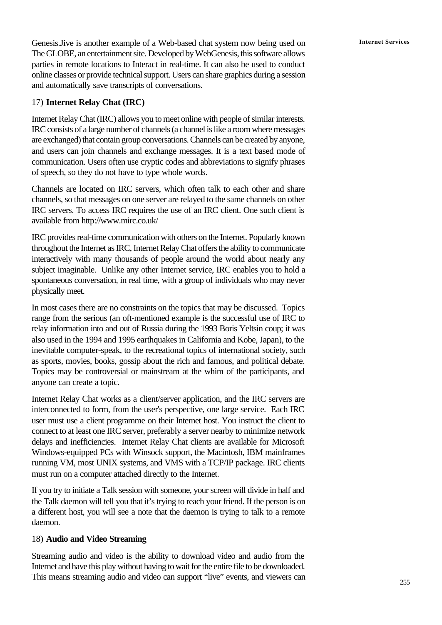Genesis.Jive is another example of a Web-based chat system now being used on **Internet Services** The GLOBE, an entertainment site. Developed by WebGenesis, this software allows parties in remote locations to Interact in real-time. It can also be used to conduct online classes or provide technical support. Users can share graphics during a session and automatically save transcripts of conversations.

## 17) **Internet Relay Chat (IRC)**

Internet Relay Chat (IRC) allows you to meet online with people of similar interests. IRC consists of a large number of channels (a channel is like a room where messages are exchanged) that contain group conversations. Channels can be created by anyone, and users can join channels and exchange messages. It is a text based mode of communication. Users often use cryptic codes and abbreviations to signify phrases of speech, so they do not have to type whole words.

Channels are located on IRC servers, which often talk to each other and share channels, so that messages on one server are relayed to the same channels on other IRC servers. To access IRC requires the use of an IRC client. One such client is available from http://www.mirc.co.uk/

IRC provides real-time communication with others on the Internet. Popularly known throughout the Internet as IRC, Internet Relay Chat offers the ability to communicate interactively with many thousands of people around the world about nearly any subject imaginable. Unlike any other Internet service, IRC enables you to hold a spontaneous conversation, in real time, with a group of individuals who may never physically meet.

In most cases there are no constraints on the topics that may be discussed. Topics range from the serious (an oft-mentioned example is the successful use of IRC to relay information into and out of Russia during the 1993 Boris Yeltsin coup; it was also used in the 1994 and 1995 earthquakes in California and Kobe, Japan), to the inevitable computer-speak, to the recreational topics of international society, such as sports, movies, books, gossip about the rich and famous, and political debate. Topics may be controversial or mainstream at the whim of the participants, and anyone can create a topic.

Internet Relay Chat works as a client/server application, and the IRC servers are interconnected to form, from the user's perspective, one large service. Each IRC user must use a client programme on their Internet host. You instruct the client to connect to at least one IRC server, preferably a server nearby to minimize network delays and inefficiencies. Internet Relay Chat clients are available for Microsoft Windows-equipped PCs with Winsock support, the Macintosh, IBM mainframes running VM, most UNIX systems, and VMS with a TCP/IP package. IRC clients must run on a computer attached directly to the Internet.

If you try to initiate a Talk session with someone, your screen will divide in half and the Talk daemon will tell you that it's trying to reach your friend. If the person is on a different host, you will see a note that the daemon is trying to talk to a remote daemon.

## 18) **Audio and Video Streaming**

Streaming audio and video is the ability to download video and audio from the Internet and have this play without having to wait for the entire file to be downloaded. This means streaming audio and video can support "live" events, and viewers can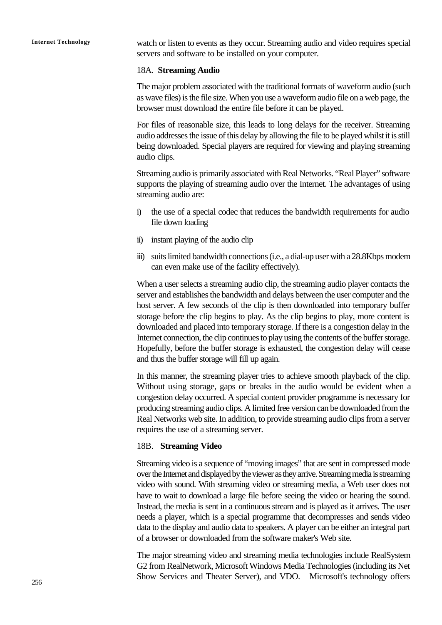**Internet Technology** watch or listen to events as they occur. Streaming audio and video requires special servers and software to be installed on your computer.

#### 18A. **Streaming Audio**

The major problem associated with the traditional formats of waveform audio (such as wave files) is the file size. When you use a waveform audio file on a web page, the browser must download the entire file before it can be played.

For files of reasonable size, this leads to long delays for the receiver. Streaming audio addresses the issue of this delay by allowing the file to be played whilst it is still being downloaded. Special players are required for viewing and playing streaming audio clips.

Streaming audio is primarily associated with Real Networks. "Real Player" software supports the playing of streaming audio over the Internet. The advantages of using streaming audio are:

- i) the use of a special codec that reduces the bandwidth requirements for audio file down loading
- ii) instant playing of the audio clip
- iii) suits limited bandwidth connections (i.e., a dial-up user with a 28.8Kbps modem can even make use of the facility effectively).

When a user selects a streaming audio clip, the streaming audio player contacts the server and establishes the bandwidth and delays between the user computer and the host server. A few seconds of the clip is then downloaded into temporary buffer storage before the clip begins to play. As the clip begins to play, more content is downloaded and placed into temporary storage. If there is a congestion delay in the Internet connection, the clip continues to play using the contents of the buffer storage. Hopefully, before the buffer storage is exhausted, the congestion delay will cease and thus the buffer storage will fill up again.

In this manner, the streaming player tries to achieve smooth playback of the clip. Without using storage, gaps or breaks in the audio would be evident when a congestion delay occurred. A special content provider programme is necessary for producing streaming audio clips. A limited free version can be downloaded from the Real Networks web site. In addition, to provide streaming audio clips from a server requires the use of a streaming server.

#### 18B. **Streaming Video**

Streaming video is a sequence of "moving images" that are sent in compressed mode over the Internet and displayed by the viewer as they arrive. Streaming media is streaming video with sound. With streaming video or streaming media, a Web user does not have to wait to download a large file before seeing the video or hearing the sound. Instead, the media is sent in a continuous stream and is played as it arrives. The user needs a player, which is a special programme that decompresses and sends video data to the display and audio data to speakers. A player can be either an integral part of a browser or downloaded from the software maker's Web site.

The major streaming video and streaming media technologies include RealSystem G2 from RealNetwork, Microsoft Windows Media Technologies (including its Net Show Services and Theater Server), and VDO. Microsoft's technology offers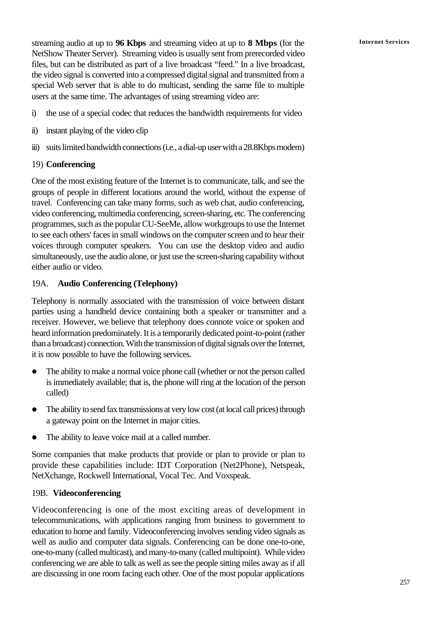**Internet Services** streaming audio at up to **96 Kbps** and streaming video at up to **8 Mbps** (for the NetShow Theater Server). Streaming video is usually sent from prerecorded video files, but can be distributed as part of a live broadcast "feed." In a live broadcast, the video signal is converted into a compressed digital signal and transmitted from a special Web server that is able to do multicast, sending the same file to multiple users at the same time. The advantages of using streaming video are:

- i) the use of a special codec that reduces the bandwidth requirements for video
- ii) instant playing of the video clip
- iii) suits limited bandwidth connections (i.e., a dial-up user with a 28.8Kbps modem)

# 19) **Conferencing**

One of the most existing feature of the Internet is to communicate, talk, and see the groups of people in different locations around the world, without the expense of travel. Conferencing can take many forms, such as web chat, audio conferencing, video conferencing, multimedia conferencing, screen-sharing, etc. The conferencing programmes, such as the popular CU-SeeMe, allow workgroups to use the Internet to see each others' faces in small windows on the computer screen and to hear their voices through computer speakers. You can use the desktop video and audio simultaneously, use the audio alone, or just use the screen-sharing capability without either audio or video.

# 19A. **Audio Conferencing (Telephony)**

Telephony is normally associated with the transmission of voice between distant parties using a handheld device containing both a speaker or transmitter and a receiver. However, we believe that telephony does connote voice or spoken and heard information predominately. It is a temporarily dedicated point-to-point (rather than a broadcast) connection. With the transmission of digital signals over the Internet, it is now possible to have the following services.

- The ability to make a normal voice phone call (whether or not the person called is immediately available; that is, the phone will ring at the location of the person called)
- The ability to send fax transmissions at very low cost (at local call prices) through a gateway point on the Internet in major cities.
- The ability to leave voice mail at a called number.

Some companies that make products that provide or plan to provide or plan to provide these capabilities include: IDT Corporation (Net2Phone), Netspeak, NetXchange, Rockwell International, Vocal Tec. And Voxspeak.

## 19B. **Videoconferencing**

Videoconferencing is one of the most exciting areas of development in telecommunications, with applications ranging from business to government to education to home and family. Videoconferencing involves sending video signals as well as audio and computer data signals. Conferencing can be done one-to-one, one-to-many (called multicast), and many-to-many (called multipoint). While video conferencing we are able to talk as well as see the people sitting miles away as if all are discussing in one room facing each other. One of the most popular applications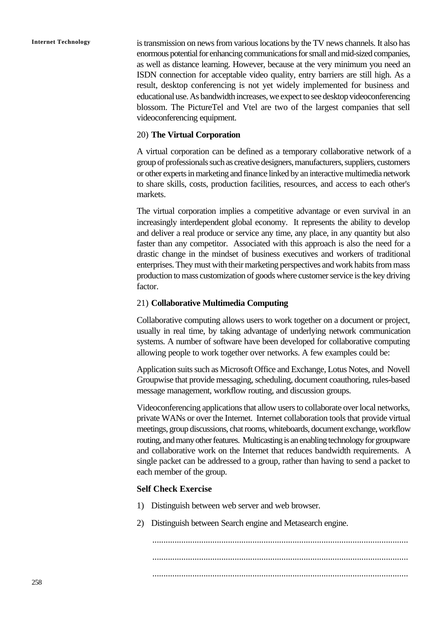**Internet Technology** is transmission on news from various locations by the TV news channels. It also has enormous potential for enhancing communications for small and mid-sized companies, as well as distance learning. However, because at the very minimum you need an ISDN connection for acceptable video quality, entry barriers are still high. As a result, desktop conferencing is not yet widely implemented for business and educational use. As bandwidth increases, we expect to see desktop videoconferencing blossom. The PictureTel and Vtel are two of the largest companies that sell videoconferencing equipment.

## 20) **The Virtual Corporation**

A virtual corporation can be defined as a temporary collaborative network of a group of professionals such as creative designers, manufacturers, suppliers, customers or other experts in marketing and finance linked by an interactive multimedia network to share skills, costs, production facilities, resources, and access to each other's markets.

The virtual corporation implies a competitive advantage or even survival in an increasingly interdependent global economy. It represents the ability to develop and deliver a real produce or service any time, any place, in any quantity but also faster than any competitor. Associated with this approach is also the need for a drastic change in the mindset of business executives and workers of traditional enterprises. They must with their marketing perspectives and work habits from mass production to mass customization of goods where customer service is the key driving factor.

#### 21) **Collaborative Multimedia Computing**

Collaborative computing allows users to work together on a document or project, usually in real time, by taking advantage of underlying network communication systems. A number of software have been developed for collaborative computing allowing people to work together over networks. A few examples could be:

Application suits such as Microsoft Office and Exchange, Lotus Notes, and Novell Groupwise that provide messaging, scheduling, document coauthoring, rules-based message management, workflow routing, and discussion groups.

Videoconferencing applications that allow users to collaborate over local networks, private WANs or over the Internet. Internet collaboration tools that provide virtual meetings, group discussions, chat rooms, whiteboards, document exchange, workflow routing, and many other features. Multicasting is an enabling technology for groupware and collaborative work on the Internet that reduces bandwidth requirements. A single packet can be addressed to a group, rather than having to send a packet to each member of the group.

## **Self Check Exercise**

- 1) Distinguish between web server and web browser.
- 2) Distinguish between Search engine and Metasearch engine.

................................................................................................................... ................................................................................................................... ...................................................................................................................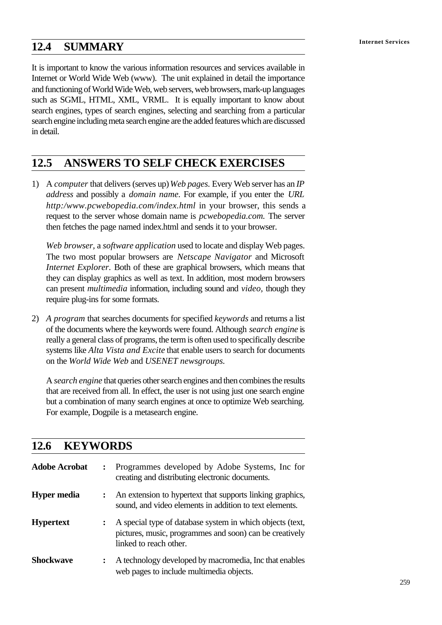# **Internet Services 12.4 SUMMARY**

It is important to know the various information resources and services available in Internet or World Wide Web (www). The unit explained in detail the importance and functioning of World Wide Web, web servers, web browsers, mark-up languages such as SGML, HTML, XML, VRML. It is equally important to know about search engines, types of search engines, selecting and searching from a particular search engine including meta search engine are the added features which are discussed in detail.

# **12.5 ANSWERS TO SELF CHECK EXERCISES**

1) A *computer* that delivers (serves up) *Web pages.* Every Web server has an *IP address* and possibly a *domain name.* For example, if you enter the *URL http:/www.pcwebopedia.com/index.html* in your browser, this sends a request to the server whose domain name is *pcwebopedia.com.* The server then fetches the page named index.html and sends it to your browser.

*Web browser,* a *software application* used to locate and display Web pages. The two most popular browsers are *Netscape Navigator* and Microsoft *Internet Explorer.* Both of these are graphical browsers, which means that they can display graphics as well as text. In addition, most modern browsers can present *multimedia* information, including sound and *video,* though they require plug-ins for some formats.

2) *A program* that searches documents for specified *keywords* and returns a list of the documents where the keywords were found. Although *search engine* is really a general class of programs, the term is often used to specifically describe systems like *Alta Vista and Excite* that enable users to search for documents on the *World Wide Web* and *USENET newsgroups.*

A *search engine* that queries other search engines and then combines the results that are received from all. In effect, the user is not using just one search engine but a combination of many search engines at once to optimize Web searching. For example, Dogpile is a metasearch engine.

| <b>Adobe Acrobat</b> | Programmes developed by Adobe Systems, Inc for<br>creating and distributing electronic documents.                                              |  |
|----------------------|------------------------------------------------------------------------------------------------------------------------------------------------|--|
| <b>Hyper media</b>   | An extension to hypertext that supports linking graphics,<br>sound, and video elements in addition to text elements.                           |  |
| <b>Hypertext</b>     | A special type of database system in which objects (text,<br>pictures, music, programmes and soon) can be creatively<br>linked to reach other. |  |
| <b>Shockwave</b>     | A technology developed by macromedia, Inc that enables<br>web pages to include multimedia objects.                                             |  |

# **12.6 KEYWORDS**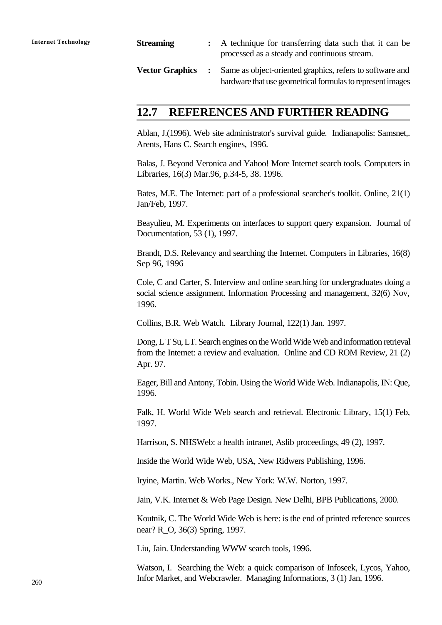- **Internet Technology Streaming :** A technique for transferring data such that it can be processed as a steady and continuous stream.
	- **Vector Graphics :** Same as object-oriented graphics, refers to software and hardware that use geometrical formulas to represent images

# **12.7 REFERENCES AND FURTHER READING**

Ablan, J.(1996). Web site administrator's survival guide. Indianapolis: Samsnet,. Arents, Hans C. Search engines, 1996.

Balas, J. Beyond Veronica and Yahoo! More Internet search tools. Computers in Libraries, 16(3) Mar.96, p.34-5, 38. 1996.

Bates, M.E. The Internet: part of a professional searcher's toolkit. Online, 21(1) Jan/Feb, 1997.

Beayulieu, M. Experiments on interfaces to support query expansion. Journal of Documentation, 53 (1), 1997.

Brandt, D.S. Relevancy and searching the Internet. Computers in Libraries, 16(8) Sep 96, 1996

Cole, C and Carter, S. Interview and online searching for undergraduates doing a social science assignment. Information Processing and management, 32(6) Nov, 1996.

Collins, B.R. Web Watch. Library Journal, 122(1) Jan. 1997.

Dong, L T Su, LT. Search engines on the World Wide Web and information retrieval from the Internet: a review and evaluation. Online and CD ROM Review, 21 (2) Apr. 97.

Eager, Bill and Antony, Tobin. Using the World Wide Web. Indianapolis, IN: Que, 1996.

Falk, H. World Wide Web search and retrieval. Electronic Library, 15(1) Feb, 1997.

Harrison, S. NHSWeb: a health intranet, Aslib proceedings, 49 (2), 1997.

Inside the World Wide Web, USA, New Ridwers Publishing, 1996.

Iryine, Martin. Web Works., New York: W.W. Norton, 1997.

Jain, V.K. Internet & Web Page Design. New Delhi, BPB Publications, 2000.

Koutnik, C. The World Wide Web is here: is the end of printed reference sources near? R\_O, 36(3) Spring, 1997.

Liu, Jain. Understanding WWW search tools, 1996.

Watson, I. Searching the Web: a quick comparison of Infoseek, Lycos, Yahoo, Infor Market, and Webcrawler. Managing Informations, 3 (1) Jan, 1996.